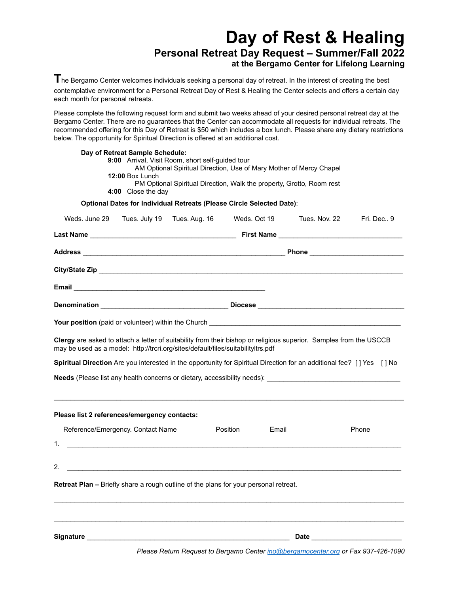# **Day of Rest & Healing Personal Retreat Day Request – Summer/Fall 2022 at the Bergamo Center for Lifelong Learning**

**T**he Bergamo Center welcomes individuals seeking a personal day of retreat. In the interest of creating the best contemplative environment for a Personal Retreat Day of Rest & Healing the Center selects and offers a certain day each month for personal retreats.

Please complete the following request form and submit two weeks ahead of your desired personal retreat day at the Bergamo Center. There are no guarantees that the Center can accommodate all requests for individual retreats. The recommended offering for this Day of Retreat is \$50 which includes a box lunch. Please share any dietary restrictions below. The opportunity for Spiritual Direction is offered at an additional cost.

|                                                                                                                                                                                                        | Day of Retreat Sample Schedule: |                                                                                                                         |          |              |                                                                                                                                                                                                                                |              |
|--------------------------------------------------------------------------------------------------------------------------------------------------------------------------------------------------------|---------------------------------|-------------------------------------------------------------------------------------------------------------------------|----------|--------------|--------------------------------------------------------------------------------------------------------------------------------------------------------------------------------------------------------------------------------|--------------|
|                                                                                                                                                                                                        |                                 | 9:00 Arrival, Visit Room, short self-guided tour<br>AM Optional Spiritual Direction, Use of Mary Mother of Mercy Chapel |          |              |                                                                                                                                                                                                                                |              |
|                                                                                                                                                                                                        | 12:00 Box Lunch                 |                                                                                                                         |          |              |                                                                                                                                                                                                                                |              |
|                                                                                                                                                                                                        |                                 | PM Optional Spiritual Direction, Walk the property, Grotto, Room rest                                                   |          |              |                                                                                                                                                                                                                                |              |
|                                                                                                                                                                                                        | 4:00 Close the day              |                                                                                                                         |          |              |                                                                                                                                                                                                                                |              |
|                                                                                                                                                                                                        |                                 | Optional Dates for Individual Retreats (Please Circle Selected Date):                                                   |          |              |                                                                                                                                                                                                                                |              |
| Weds. June 29 Tues. July 19 Tues. Aug. 16                                                                                                                                                              |                                 |                                                                                                                         |          | Weds. Oct 19 | Tues. Nov. 22                                                                                                                                                                                                                  | Fri. Dec., 9 |
|                                                                                                                                                                                                        |                                 |                                                                                                                         |          |              |                                                                                                                                                                                                                                |              |
|                                                                                                                                                                                                        |                                 |                                                                                                                         |          |              |                                                                                                                                                                                                                                |              |
|                                                                                                                                                                                                        |                                 |                                                                                                                         |          |              |                                                                                                                                                                                                                                |              |
|                                                                                                                                                                                                        |                                 |                                                                                                                         |          |              |                                                                                                                                                                                                                                |              |
|                                                                                                                                                                                                        |                                 |                                                                                                                         |          |              |                                                                                                                                                                                                                                |              |
|                                                                                                                                                                                                        |                                 |                                                                                                                         |          |              |                                                                                                                                                                                                                                |              |
|                                                                                                                                                                                                        |                                 |                                                                                                                         |          |              |                                                                                                                                                                                                                                |              |
| Clergy are asked to attach a letter of suitability from their bishop or religious superior. Samples from the USCCB<br>may be used as a model: http://trcri.org/sites/default/files/suitabilityltrs.pdf |                                 |                                                                                                                         |          |              |                                                                                                                                                                                                                                |              |
| Spiritual Direction Are you interested in the opportunity for Spiritual Direction for an additional fee? [] Yes [] No                                                                                  |                                 |                                                                                                                         |          |              |                                                                                                                                                                                                                                |              |
| Needs (Please list any health concerns or dietary, accessibility needs): [19] Needs (Please list and the concern                                                                                       |                                 |                                                                                                                         |          |              |                                                                                                                                                                                                                                |              |
|                                                                                                                                                                                                        |                                 |                                                                                                                         |          |              |                                                                                                                                                                                                                                |              |
|                                                                                                                                                                                                        |                                 |                                                                                                                         |          |              |                                                                                                                                                                                                                                |              |
| Please list 2 references/emergency contacts:                                                                                                                                                           |                                 |                                                                                                                         |          |              |                                                                                                                                                                                                                                |              |
| Reference/Emergency. Contact Name                                                                                                                                                                      |                                 |                                                                                                                         | Position | Email        |                                                                                                                                                                                                                                | Phone        |
|                                                                                                                                                                                                        |                                 |                                                                                                                         |          |              |                                                                                                                                                                                                                                |              |
|                                                                                                                                                                                                        |                                 |                                                                                                                         |          |              |                                                                                                                                                                                                                                |              |
| 2.                                                                                                                                                                                                     |                                 | <u>and the state of the state of the state of the state of the state of the state of the state of the state of th</u>   |          |              |                                                                                                                                                                                                                                |              |
| <b>Retreat Plan –</b> Briefly share a rough outline of the plans for your personal retreat.                                                                                                            |                                 |                                                                                                                         |          |              |                                                                                                                                                                                                                                |              |
|                                                                                                                                                                                                        |                                 |                                                                                                                         |          |              |                                                                                                                                                                                                                                |              |
|                                                                                                                                                                                                        |                                 |                                                                                                                         |          |              |                                                                                                                                                                                                                                |              |
| Signature                                                                                                                                                                                              |                                 |                                                                                                                         |          |              | Date and the state of the state of the state of the state of the state of the state of the state of the state of the state of the state of the state of the state of the state of the state of the state of the state of the s |              |
|                                                                                                                                                                                                        |                                 |                                                                                                                         |          |              |                                                                                                                                                                                                                                |              |

*Please Return Request to Bergamo Center [ino@bergamocenter.org](mailto:ino@bergamocenter.org) or Fax 937-426-1090*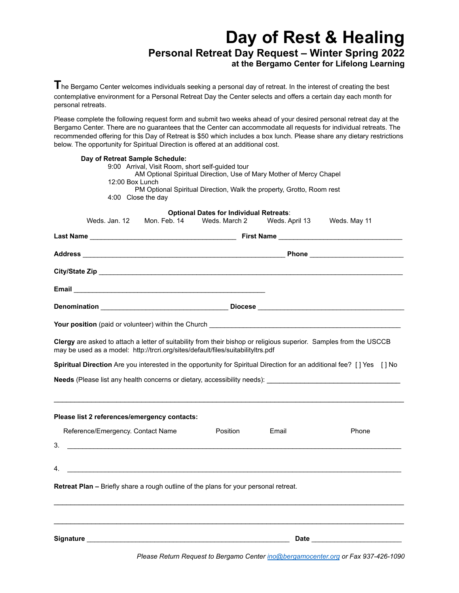# **Day of Rest & Healing Personal Retreat Day Request – Winter Spring 2022 at the Bergamo Center for Lifelong Learning**

The Bergamo Center welcomes individuals seeking a personal day of retreat. In the interest of creating the best contemplative environment for a Personal Retreat Day the Center selects and offers a certain day each month for personal retreats.

Please complete the following request form and submit two weeks ahead of your desired personal retreat day at the Bergamo Center. There are no guarantees that the Center can accommodate all requests for individual retreats. The recommended offering for this Day of Retreat is \$50 which includes a box lunch. Please share any dietary restrictions below. The opportunity for Spiritual Direction is offered at an additional cost.

| Day of Retreat Sample Schedule:                                                                                                                                                                                                                                                                                                 | 9:00 Arrival, Visit Room, short self-guided tour                    |                              |                 |  |  |
|---------------------------------------------------------------------------------------------------------------------------------------------------------------------------------------------------------------------------------------------------------------------------------------------------------------------------------|---------------------------------------------------------------------|------------------------------|-----------------|--|--|
|                                                                                                                                                                                                                                                                                                                                 | AM Optional Spiritual Direction, Use of Mary Mother of Mercy Chapel |                              |                 |  |  |
| 12:00 Box Lunch<br>PM Optional Spiritual Direction, Walk the property, Grotto, Room rest                                                                                                                                                                                                                                        |                                                                     |                              |                 |  |  |
| 4:00 Close the day                                                                                                                                                                                                                                                                                                              |                                                                     |                              |                 |  |  |
|                                                                                                                                                                                                                                                                                                                                 | <b>Optional Dates for Individual Retreats:</b>                      |                              |                 |  |  |
| Weds, Jan, 12<br>Mon. Feb. 14                                                                                                                                                                                                                                                                                                   |                                                                     | Weds. March 2 Weds. April 13 | Weds. May 11    |  |  |
|                                                                                                                                                                                                                                                                                                                                 |                                                                     |                              |                 |  |  |
|                                                                                                                                                                                                                                                                                                                                 |                                                                     |                              |                 |  |  |
|                                                                                                                                                                                                                                                                                                                                 |                                                                     |                              |                 |  |  |
| Email <u>Communication and Communication</u> and Communication and Communication and Communication                                                                                                                                                                                                                              |                                                                     |                              |                 |  |  |
|                                                                                                                                                                                                                                                                                                                                 |                                                                     |                              |                 |  |  |
|                                                                                                                                                                                                                                                                                                                                 |                                                                     |                              |                 |  |  |
| Clergy are asked to attach a letter of suitability from their bishop or religious superior. Samples from the USCCB<br>may be used as a model: http://trcri.org/sites/default/files/suitabilityltrs.pdf<br>Spiritual Direction Are you interested in the opportunity for Spiritual Direction for an additional fee? [] Yes [] No |                                                                     |                              |                 |  |  |
| Needs (Please list any health concerns or dietary, accessibility needs):                                                                                                                                                                                                                                                        |                                                                     |                              |                 |  |  |
| Please list 2 references/emergency contacts:                                                                                                                                                                                                                                                                                    |                                                                     |                              |                 |  |  |
| Reference/Emergency. Contact Name                                                                                                                                                                                                                                                                                               | Position                                                            | Email                        | Phone           |  |  |
| 3.<br><u> La componenta de la componenta de la componenta de la componenta de la componenta de la componenta de la comp</u>                                                                                                                                                                                                     |                                                                     |                              |                 |  |  |
|                                                                                                                                                                                                                                                                                                                                 |                                                                     |                              |                 |  |  |
| 4.<br><u> 1989 - Johann Stein, mars an deutscher Stein († 1989)</u>                                                                                                                                                                                                                                                             |                                                                     |                              |                 |  |  |
| Retreat Plan - Briefly share a rough outline of the plans for your personal retreat.                                                                                                                                                                                                                                            |                                                                     |                              |                 |  |  |
|                                                                                                                                                                                                                                                                                                                                 |                                                                     |                              |                 |  |  |
| Signature <b>Signature</b> that the state of the state of the state of the state of the state of the state of the state of the state of the state of the state of the state of the state of the state of the state of the state of                                                                                              |                                                                     |                              | Date __________ |  |  |

*Please Return Request to Bergamo Center [ino@bergamocenter.org](mailto:ino@bergamocenter.org) or Fax 937-426-1090*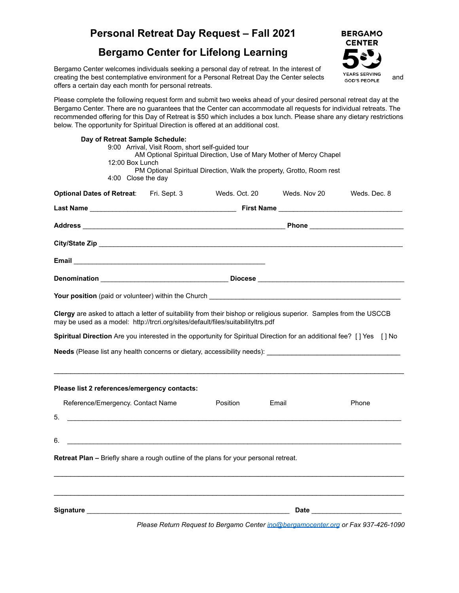# **Personal Retreat Day Request – Fall 2021**

### **Bergamo Center for Lifelong Learning**

Bergamo Center welcomes individuals seeking a personal day of retreat. In the interest of creating the best contemplative environment for a Personal Retreat Day the Center selects serving and offers a certain day each month for personal retreats.

**BERGAMO CENTER** 

Please complete the following request form and submit two weeks ahead of your desired personal retreat day at the Bergamo Center. There are no guarantees that the Center can accommodate all requests for individual retreats. The recommended offering for this Day of Retreat is \$50 which includes a box lunch. Please share any dietary restrictions below. The opportunity for Spiritual Direction is offered at an additional cost.

| Day of Retreat Sample Schedule:<br>12:00 Box Lunch<br>4:00 Close the day                                                                                                                                                            | 9:00 Arrival, Visit Room, short self-guided tour |                                                                                                                      | AM Optional Spiritual Direction, Use of Mary Mother of Mercy Chapel<br>PM Optional Spiritual Direction, Walk the property, Grotto, Room rest |                                                                                                                                                                                                                                |
|-------------------------------------------------------------------------------------------------------------------------------------------------------------------------------------------------------------------------------------|--------------------------------------------------|----------------------------------------------------------------------------------------------------------------------|----------------------------------------------------------------------------------------------------------------------------------------------|--------------------------------------------------------------------------------------------------------------------------------------------------------------------------------------------------------------------------------|
| Optional Dates of Retreat: Fri. Sept. 3                                                                                                                                                                                             |                                                  |                                                                                                                      | Weds. Oct. 20 Weds. Nov 20                                                                                                                   | Weds, Dec. 8                                                                                                                                                                                                                   |
|                                                                                                                                                                                                                                     |                                                  |                                                                                                                      |                                                                                                                                              |                                                                                                                                                                                                                                |
|                                                                                                                                                                                                                                     |                                                  |                                                                                                                      |                                                                                                                                              |                                                                                                                                                                                                                                |
|                                                                                                                                                                                                                                     |                                                  |                                                                                                                      |                                                                                                                                              |                                                                                                                                                                                                                                |
|                                                                                                                                                                                                                                     |                                                  |                                                                                                                      |                                                                                                                                              |                                                                                                                                                                                                                                |
|                                                                                                                                                                                                                                     |                                                  |                                                                                                                      |                                                                                                                                              |                                                                                                                                                                                                                                |
| Your position (paid or volunteer) within the Church <b>Chamber 2016</b> Control 2016 12:00 AM Control 2016 12:00 AM Control 2016 12:00 AM Control 2016 12:00 AM Control 2016 12:00 AM Control 2016 12:00 AM CONTROL 2016 12:00 AM C |                                                  |                                                                                                                      |                                                                                                                                              |                                                                                                                                                                                                                                |
| Clergy are asked to attach a letter of suitability from their bishop or religious superior. Samples from the USCCB<br>may be used as a model: http://trcri.org/sites/default/files/suitabilityltrs.pdf                              |                                                  |                                                                                                                      |                                                                                                                                              |                                                                                                                                                                                                                                |
| Spiritual Direction Are you interested in the opportunity for Spiritual Direction for an additional fee? [] Yes [] No                                                                                                               |                                                  |                                                                                                                      |                                                                                                                                              |                                                                                                                                                                                                                                |
| Needs (Please list any health concerns or dietary, accessibility needs): Needs (Please Directors of the Directors of the Directors of the Directors of the Directors of the Directors of the Directors of the Directors of the      |                                                  |                                                                                                                      |                                                                                                                                              |                                                                                                                                                                                                                                |
| Please list 2 references/emergency contacts:                                                                                                                                                                                        |                                                  |                                                                                                                      |                                                                                                                                              |                                                                                                                                                                                                                                |
| Reference/Emergency. Contact Name                                                                                                                                                                                                   |                                                  | Position                                                                                                             | Email                                                                                                                                        | Phone                                                                                                                                                                                                                          |
| <u> 1990 - Johann John Stein, markin fan it fjort fan it fjort fan it fjort fan it fjort fan it fjort fan it fjort f</u><br>5.                                                                                                      |                                                  |                                                                                                                      |                                                                                                                                              |                                                                                                                                                                                                                                |
| 6.                                                                                                                                                                                                                                  |                                                  |                                                                                                                      |                                                                                                                                              |                                                                                                                                                                                                                                |
| Retreat Plan - Briefly share a rough outline of the plans for your personal retreat.                                                                                                                                                |                                                  |                                                                                                                      |                                                                                                                                              |                                                                                                                                                                                                                                |
| <b>Signature</b>                                                                                                                                                                                                                    |                                                  | <u> 1980 - Jan Stein Stein Stein Stein Stein Stein Stein Stein Stein Stein Stein Stein Stein Stein Stein Stein S</u> |                                                                                                                                              | Date and the contract of the contract of the contract of the contract of the contract of the contract of the contract of the contract of the contract of the contract of the contract of the contract of the contract of the c |
|                                                                                                                                                                                                                                     |                                                  |                                                                                                                      | Please Return Request to Bergamo Center ino@bergamocenter.org or Fax 937-426-1090                                                            |                                                                                                                                                                                                                                |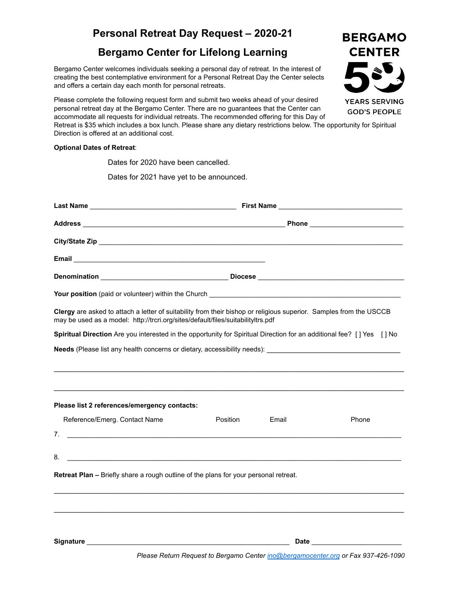### **Personal Retreat Day Request – 2020-21**

### **Bergamo Center for Lifelong Learning**

Bergamo Center welcomes individuals seeking a personal day of retreat. In the interest of creating the best contemplative environment for a Personal Retreat Day the Center selects and offers a certain day each month for personal retreats.

Please complete the following request form and submit two weeks ahead of your desired personal retreat day at the Bergamo Center. There are no guarantees that the Center can accommodate all requests for individual retreats. The recommended offering for this Day of Retreat is \$35 which includes a box lunch. Please share any dietary restrictions below. The opportunity for Spiritual Direction is offered at an additional cost.

#### **Optional Dates of Retreat**:

Dates for 2020 have been cancelled.

Dates for 2021 have yet to be announced.

| <b>Your position</b> (paid or volunteer) within the Church <b>Container and Container and Container and Container and Container and Container and Container and Container and Container and Container and Container and Container and</b> |          |       |                                 |
|-------------------------------------------------------------------------------------------------------------------------------------------------------------------------------------------------------------------------------------------|----------|-------|---------------------------------|
| Clergy are asked to attach a letter of suitability from their bishop or religious superior. Samples from the USCCB<br>may be used as a model: http://trcri.org/sites/default/files/suitabilityltrs.pdf                                    |          |       |                                 |
| Spiritual Direction Are you interested in the opportunity for Spiritual Direction for an additional fee? [] Yes [] No                                                                                                                     |          |       |                                 |
|                                                                                                                                                                                                                                           |          |       |                                 |
|                                                                                                                                                                                                                                           |          |       |                                 |
|                                                                                                                                                                                                                                           |          |       |                                 |
| Please list 2 references/emergency contacts:                                                                                                                                                                                              |          |       |                                 |
| Reference/Emerg. Contact Name                                                                                                                                                                                                             | Position | Email | Phone                           |
| 7.                                                                                                                                                                                                                                        |          |       |                                 |
| 8.<br><u> 1989 - Johann Harry Harry Harry Harry Harry Harry Harry Harry Harry Harry Harry Harry Harry Harry Harry Harry</u>                                                                                                               |          |       |                                 |
| Retreat Plan - Briefly share a rough outline of the plans for your personal retreat.                                                                                                                                                      |          |       |                                 |
|                                                                                                                                                                                                                                           |          |       |                                 |
|                                                                                                                                                                                                                                           |          |       |                                 |
|                                                                                                                                                                                                                                           |          |       |                                 |
|                                                                                                                                                                                                                                           |          |       | Date <u>___________________</u> |

**BERGAMO CENTER YEARS SERVING GOD'S PEOPLE**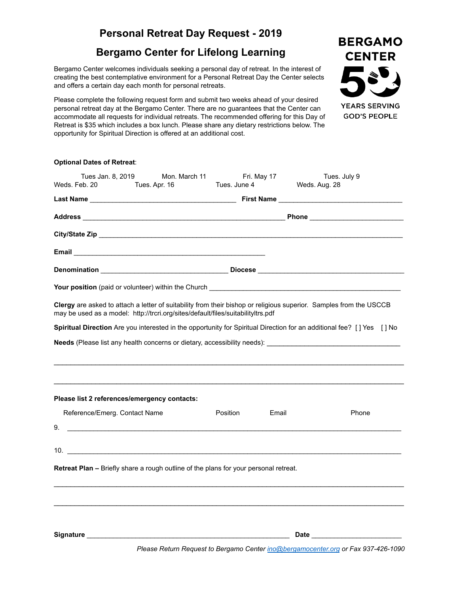### **Bergamo Center for Lifelong Learning**

Bergamo Center welcomes individuals seeking a personal day of retreat. In the interest of creating the best contemplative environment for a Personal Retreat Day the Center selects and offers a certain day each month for personal retreats.

Please complete the following request form and submit two weeks ahead of your desired personal retreat day at the Bergamo Center. There are no guarantees that the Center can accommodate all requests for individual retreats. The recommended offering for this Day of Retreat is \$35 which includes a box lunch. Please share any dietary restrictions below. The opportunity for Spiritual Direction is offered at an additional cost.

| <b>Optional Dates of Retreat:</b>                                                                                                                                                                                                    |                                                     |              |             |                                                                                                                                                          |
|--------------------------------------------------------------------------------------------------------------------------------------------------------------------------------------------------------------------------------------|-----------------------------------------------------|--------------|-------------|----------------------------------------------------------------------------------------------------------------------------------------------------------|
| Tues Jan. 8, 2019<br>Weds. Feb. 20                                                                                                                                                                                                   | Mon. March 11<br>Tues. Apr. 16                      | Tues. June 4 | Fri. May 17 | Tues. July 9<br>Weds. Aug. 28                                                                                                                            |
|                                                                                                                                                                                                                                      |                                                     |              |             |                                                                                                                                                          |
|                                                                                                                                                                                                                                      |                                                     |              |             |                                                                                                                                                          |
|                                                                                                                                                                                                                                      |                                                     |              |             |                                                                                                                                                          |
|                                                                                                                                                                                                                                      |                                                     |              |             |                                                                                                                                                          |
|                                                                                                                                                                                                                                      |                                                     |              |             |                                                                                                                                                          |
| Your position (paid or volunteer) within the Church <b>example and the control of the control of the control of the control of the control of the control of the control of the control of the control of the control of the con</b> |                                                     |              |             |                                                                                                                                                          |
| may be used as a model: http://trcri.org/sites/default/files/suitabilityltrs.pdf                                                                                                                                                     |                                                     |              |             | Clergy are asked to attach a letter of suitability from their bishop or religious superior. Samples from the USCCB                                       |
|                                                                                                                                                                                                                                      |                                                     |              |             | Spiritual Direction Are you interested in the opportunity for Spiritual Direction for an additional fee? [] Yes [] No                                    |
|                                                                                                                                                                                                                                      |                                                     |              |             | Needs (Please list any health concerns or dietary, accessibility needs): [1997] Needs (Please list any health concerns or dietary, accessibility needs): |
| Please list 2 references/emergency contacts:                                                                                                                                                                                         |                                                     |              |             |                                                                                                                                                          |
| Reference/Emerg. Contact Name                                                                                                                                                                                                        |                                                     | Position     | Email       | Phone                                                                                                                                                    |
| 9.                                                                                                                                                                                                                                   | <u> 1980 - Johann Stein, marwolaethau (b. 1980)</u> |              |             |                                                                                                                                                          |
| 10.                                                                                                                                                                                                                                  |                                                     |              |             |                                                                                                                                                          |
| <b>Retreat Plan –</b> Briefly share a rough outline of the plans for your personal retreat.                                                                                                                                          |                                                     |              |             |                                                                                                                                                          |
|                                                                                                                                                                                                                                      |                                                     |              |             |                                                                                                                                                          |
|                                                                                                                                                                                                                                      |                                                     |              |             |                                                                                                                                                          |
|                                                                                                                                                                                                                                      |                                                     |              |             | Date <u>___________________</u>                                                                                                                          |

**CENTER YEARS SERVING GOD'S PEOPLE** 

**BERGAMO** 

*Please Return Request to Bergamo Center [ino@bergamocenter.org](mailto:ino@bergamocenter.org) or Fax 937-426-1090*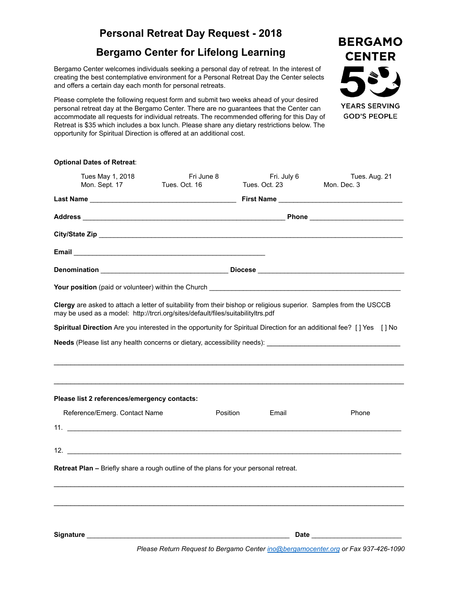### **Bergamo Center for Lifelong Learning**

Bergamo Center welcomes individuals seeking a personal day of retreat. In the interest of creating the best contemplative environment for a Personal Retreat Day the Center selects and offers a certain day each month for personal retreats.

Please complete the following request form and submit two weeks ahead of your desired personal retreat day at the Bergamo Center. There are no guarantees that the Center can accommodate all requests for individual retreats. The recommended offering for this Day of Retreat is \$35 which includes a box lunch. Please share any dietary restrictions below. The opportunity for Spiritual Direction is offered at an additional cost.

| <b>Optional Dates of Retreat:</b>                                                                                                                                                                                                         |                             |                              |                                 |
|-------------------------------------------------------------------------------------------------------------------------------------------------------------------------------------------------------------------------------------------|-----------------------------|------------------------------|---------------------------------|
| Tues May 1, 2018<br>Mon. Sept. 17                                                                                                                                                                                                         | Fri June 8<br>Tues, Oct. 16 | Fri. July 6<br>Tues. Oct. 23 | Tues. Aug. 21<br>Mon. Dec. 3    |
|                                                                                                                                                                                                                                           |                             |                              |                                 |
|                                                                                                                                                                                                                                           |                             |                              |                                 |
|                                                                                                                                                                                                                                           |                             |                              |                                 |
|                                                                                                                                                                                                                                           |                             |                              |                                 |
|                                                                                                                                                                                                                                           |                             |                              |                                 |
| <b>Your position</b> (paid or volunteer) within the Church <b>Constant Constant Constant Constant Constant Constant Constant Constant Constant Constant Constant Constant Constant Constant Constant Constant Constant Constant Const</b> |                             |                              |                                 |
| Clergy are asked to attach a letter of suitability from their bishop or religious superior. Samples from the USCCB<br>may be used as a model: http://trcri.org/sites/default/files/suitabilityltrs.pdf                                    |                             |                              |                                 |
| Spiritual Direction Are you interested in the opportunity for Spiritual Direction for an additional fee? [] Yes [] No                                                                                                                     |                             |                              |                                 |
|                                                                                                                                                                                                                                           |                             |                              |                                 |
|                                                                                                                                                                                                                                           |                             |                              |                                 |
| Please list 2 references/emergency contacts:                                                                                                                                                                                              |                             |                              |                                 |
| Reference/Emerg. Contact Name                                                                                                                                                                                                             | Position                    | Email                        | Phone                           |
|                                                                                                                                                                                                                                           |                             |                              |                                 |
| $\frac{12.}{2}$                                                                                                                                                                                                                           |                             |                              |                                 |
| <b>Retreat Plan –</b> Briefly share a rough outline of the plans for your personal retreat.                                                                                                                                               |                             |                              |                                 |
|                                                                                                                                                                                                                                           |                             |                              |                                 |
|                                                                                                                                                                                                                                           |                             |                              |                                 |
|                                                                                                                                                                                                                                           |                             |                              |                                 |
|                                                                                                                                                                                                                                           |                             |                              | Date __________________________ |

*Please Return Request to Bergamo Center [ino@bergamocenter.org](mailto:ino@bergamocenter.org) or Fax 937-426-1090*

**BERGAMO CENTER** 

**YEARS SERVING GOD'S PEOPLE**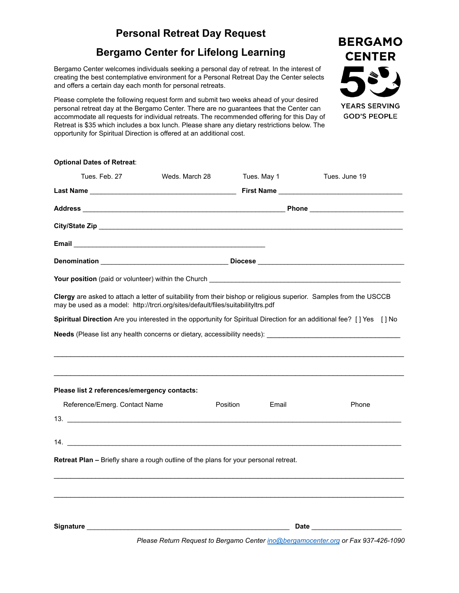# **Bergamo Center for Lifelong Learning**

Bergamo Center welcomes individuals seeking a personal day of retreat. In the interest of creating the best contemplative environment for a Personal Retreat Day the Center selects and offers a certain day each month for personal retreats.

Please complete the following request form and submit two weeks ahead of your desired personal retreat day at the Bergamo Center. There are no guarantees that the Center can accommodate all requests for individual retreats. The recommended offering for this Day of Retreat is \$35 which includes a box lunch. Please share any dietary restrictions below. The opportunity for Spiritual Direction is offered at an additional cost.

| <b>Optional Dates of Retreat:</b>                                                                                                                                                                                                    |                |          |             |                                                                                                                                                                                                                                |
|--------------------------------------------------------------------------------------------------------------------------------------------------------------------------------------------------------------------------------------|----------------|----------|-------------|--------------------------------------------------------------------------------------------------------------------------------------------------------------------------------------------------------------------------------|
| Tues, Feb. 27                                                                                                                                                                                                                        | Weds. March 28 |          | Tues. May 1 | Tues. June 19                                                                                                                                                                                                                  |
|                                                                                                                                                                                                                                      |                |          |             |                                                                                                                                                                                                                                |
|                                                                                                                                                                                                                                      |                |          |             |                                                                                                                                                                                                                                |
|                                                                                                                                                                                                                                      |                |          |             |                                                                                                                                                                                                                                |
|                                                                                                                                                                                                                                      |                |          |             |                                                                                                                                                                                                                                |
|                                                                                                                                                                                                                                      |                |          |             |                                                                                                                                                                                                                                |
| Your position (paid or volunteer) within the Church <b>Common Contract Control Control Control Control Control Control Control Control Control Control Control Control Control Control Control Control Control Control Control C</b> |                |          |             |                                                                                                                                                                                                                                |
| Clergy are asked to attach a letter of suitability from their bishop or religious superior. Samples from the USCCB<br>may be used as a model: http://trcri.org/sites/default/files/suitabilityltrs.pdf                               |                |          |             |                                                                                                                                                                                                                                |
|                                                                                                                                                                                                                                      |                |          |             | Spiritual Direction Are you interested in the opportunity for Spiritual Direction for an additional fee? [] Yes [] No                                                                                                          |
|                                                                                                                                                                                                                                      |                |          |             |                                                                                                                                                                                                                                |
|                                                                                                                                                                                                                                      |                |          |             |                                                                                                                                                                                                                                |
|                                                                                                                                                                                                                                      |                |          |             |                                                                                                                                                                                                                                |
| Please list 2 references/emergency contacts:                                                                                                                                                                                         |                |          |             |                                                                                                                                                                                                                                |
| Reference/Emerg. Contact Name                                                                                                                                                                                                        |                | Position | Email       | Phone                                                                                                                                                                                                                          |
| 13.                                                                                                                                                                                                                                  |                |          |             |                                                                                                                                                                                                                                |
| 14.                                                                                                                                                                                                                                  |                |          |             |                                                                                                                                                                                                                                |
| Retreat Plan - Briefly share a rough outline of the plans for your personal retreat.                                                                                                                                                 |                |          |             |                                                                                                                                                                                                                                |
|                                                                                                                                                                                                                                      |                |          |             |                                                                                                                                                                                                                                |
|                                                                                                                                                                                                                                      |                |          |             |                                                                                                                                                                                                                                |
|                                                                                                                                                                                                                                      |                |          |             |                                                                                                                                                                                                                                |
|                                                                                                                                                                                                                                      |                |          |             | Date and the contract of the contract of the contract of the contract of the contract of the contract of the contract of the contract of the contract of the contract of the contract of the contract of the contract of the c |
|                                                                                                                                                                                                                                      |                |          |             | Please Return Request to Bergamo Center ino@bergamocenter.org or Fax 937-426-1090                                                                                                                                              |

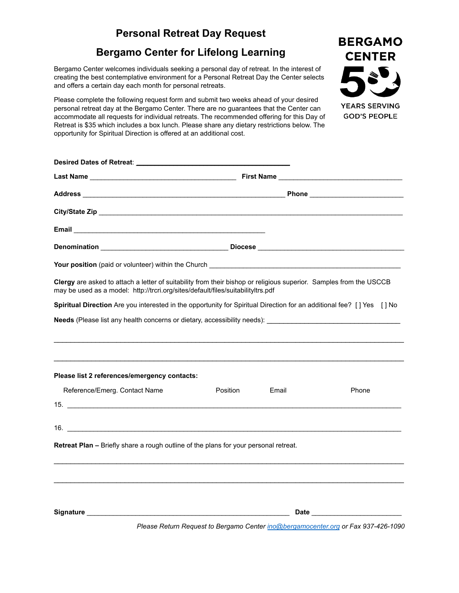**BERGAMO CENTER** 

**YEARS SERVING GOD'S PEOPLE** 

## **Bergamo Center for Lifelong Learning**

Bergamo Center welcomes individuals seeking a personal day of retreat. In the interest of creating the best contemplative environment for a Personal Retreat Day the Center selects and offers a certain day each month for personal retreats.

Please complete the following request form and submit two weeks ahead of your desired personal retreat day at the Bergamo Center. There are no guarantees that the Center can accommodate all requests for individual retreats. The recommended offering for this Day of Retreat is \$35 which includes a box lunch. Please share any dietary restrictions below. The opportunity for Spiritual Direction is offered at an additional cost.

| Clergy are asked to attach a letter of suitability from their bishop or religious superior. Samples from the USCCB<br>may be used as a model: http://trcri.org/sites/default/files/suitabilityltrs.pdf |          |       |                                                                                   |
|--------------------------------------------------------------------------------------------------------------------------------------------------------------------------------------------------------|----------|-------|-----------------------------------------------------------------------------------|
| Spiritual Direction Are you interested in the opportunity for Spiritual Direction for an additional fee? [] Yes [] No                                                                                  |          |       |                                                                                   |
| Needs (Please list any health concerns or dietary, accessibility needs): [19] Needs (Please list and the concern                                                                                       |          |       |                                                                                   |
|                                                                                                                                                                                                        |          |       |                                                                                   |
|                                                                                                                                                                                                        |          |       |                                                                                   |
|                                                                                                                                                                                                        |          |       |                                                                                   |
| Please list 2 references/emergency contacts:                                                                                                                                                           |          |       |                                                                                   |
| Reference/Emerg. Contact Name                                                                                                                                                                          | Position | Email | Phone                                                                             |
|                                                                                                                                                                                                        |          |       |                                                                                   |
|                                                                                                                                                                                                        |          |       |                                                                                   |
| 16.                                                                                                                                                                                                    |          |       |                                                                                   |
| Retreat Plan - Briefly share a rough outline of the plans for your personal retreat.                                                                                                                   |          |       |                                                                                   |
|                                                                                                                                                                                                        |          |       |                                                                                   |
|                                                                                                                                                                                                        |          |       |                                                                                   |
|                                                                                                                                                                                                        |          |       |                                                                                   |
|                                                                                                                                                                                                        |          |       |                                                                                   |
|                                                                                                                                                                                                        |          |       |                                                                                   |
|                                                                                                                                                                                                        |          |       | Please Return Request to Bergamo Center ino@bergamocenter.org or Fax 937-426-1090 |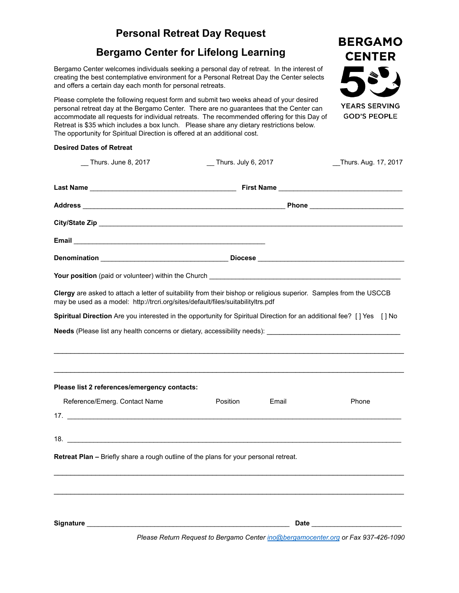### **Bergamo Center for Lifelong Learning**

Bergamo Center welcomes individuals seeking a personal day of retreat. In the interest of creating the best contemplative environment for a Personal Retreat Day the Center selects and offers a certain day each month for personal retreats.

Please complete the following request form and submit two weeks ahead of your desired personal retreat day at the Bergamo Center. There are no guarantees that the Center can accommodate all requests for individual retreats. The recommended offering for this Day of Retreat is \$35 which includes a box lunch. Please share any dietary restrictions below. The opportunity for Spiritual Direction is offered at an additional cost.

#### **Desired Dates of Retreat**

| Thurs. June 8, 2017                                                                                                                                                                                    | _ Thurs. July 6, 2017                                                                                                                                                                                                          | Thurs. Aug. 17, 2017 |  |  |  |  |
|--------------------------------------------------------------------------------------------------------------------------------------------------------------------------------------------------------|--------------------------------------------------------------------------------------------------------------------------------------------------------------------------------------------------------------------------------|----------------------|--|--|--|--|
|                                                                                                                                                                                                        |                                                                                                                                                                                                                                |                      |  |  |  |  |
|                                                                                                                                                                                                        | Address Phone Phone Phone Phone Phone Phone Phone Phone Phone Phone Phone Phone Phone Phone Phone Phone Phone Phone Phone Phone Phone Phone Phone Phone Phone Phone Phone Phone Phone Phone Phone Phone Phone Phone Phone Phon |                      |  |  |  |  |
|                                                                                                                                                                                                        |                                                                                                                                                                                                                                |                      |  |  |  |  |
|                                                                                                                                                                                                        |                                                                                                                                                                                                                                |                      |  |  |  |  |
|                                                                                                                                                                                                        |                                                                                                                                                                                                                                |                      |  |  |  |  |
|                                                                                                                                                                                                        |                                                                                                                                                                                                                                |                      |  |  |  |  |
| Clergy are asked to attach a letter of suitability from their bishop or religious superior. Samples from the USCCB<br>may be used as a model: http://trcri.org/sites/default/files/suitabilityltrs.pdf |                                                                                                                                                                                                                                |                      |  |  |  |  |
| Spiritual Direction Are you interested in the opportunity for Spiritual Direction for an additional fee? [] Yes [] No                                                                                  |                                                                                                                                                                                                                                |                      |  |  |  |  |
|                                                                                                                                                                                                        |                                                                                                                                                                                                                                |                      |  |  |  |  |
|                                                                                                                                                                                                        |                                                                                                                                                                                                                                |                      |  |  |  |  |
| Please list 2 references/emergency contacts:                                                                                                                                                           |                                                                                                                                                                                                                                |                      |  |  |  |  |
| Reference/Emerg. Contact Name<br>17.                                                                                                                                                                   | Position<br>Email                                                                                                                                                                                                              | Phone                |  |  |  |  |
|                                                                                                                                                                                                        |                                                                                                                                                                                                                                |                      |  |  |  |  |
|                                                                                                                                                                                                        |                                                                                                                                                                                                                                |                      |  |  |  |  |
| <b>Retreat Plan –</b> Briefly share a rough outline of the plans for your personal retreat.                                                                                                            |                                                                                                                                                                                                                                |                      |  |  |  |  |
|                                                                                                                                                                                                        |                                                                                                                                                                                                                                |                      |  |  |  |  |
|                                                                                                                                                                                                        |                                                                                                                                                                                                                                |                      |  |  |  |  |
|                                                                                                                                                                                                        |                                                                                                                                                                                                                                |                      |  |  |  |  |
|                                                                                                                                                                                                        | Please Return Request to Bergamo Center ino@bergamocenter.org or Fax 937-426-1090                                                                                                                                              |                      |  |  |  |  |

**BERGAMO CENTER YEARS SERVING GOD'S PEOPLE**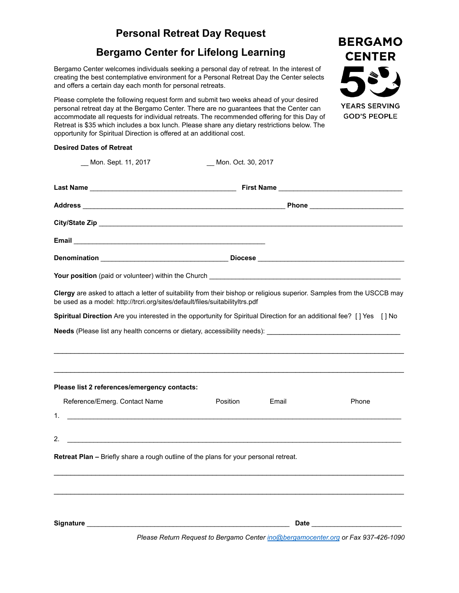### **Bergamo Center for Lifelong Learning**

Bergamo Center welcomes individuals seeking a personal day of retreat. In the interest of creating the best contemplative environment for a Personal Retreat Day the Center selects and offers a certain day each month for personal retreats.

Please complete the following request form and submit two weeks ahead of your desired personal retreat day at the Bergamo Center. There are no guarantees that the Center can accommodate all requests for individual retreats. The recommended offering for this Day of Retreat is \$35 which includes a box lunch. Please share any dietary restrictions below. The opportunity for Spiritual Direction is offered at an additional cost.

| <b>Desired Dates of Retreat</b> |  |  |
|---------------------------------|--|--|

| _Mon. Sept. 11, 2017                                                                        | Mon. Oct. 30, 2017                                                                                                                                                                                                                        |       |
|---------------------------------------------------------------------------------------------|-------------------------------------------------------------------------------------------------------------------------------------------------------------------------------------------------------------------------------------------|-------|
|                                                                                             |                                                                                                                                                                                                                                           |       |
|                                                                                             |                                                                                                                                                                                                                                           |       |
|                                                                                             |                                                                                                                                                                                                                                           |       |
|                                                                                             |                                                                                                                                                                                                                                           |       |
|                                                                                             |                                                                                                                                                                                                                                           |       |
|                                                                                             | <b>Your position</b> (paid or volunteer) within the Church <b>Constant Constant Constant Constant Constant Constant Constant Constant Constant Constant Constant Constant Constant Constant Constant Constant Constant Constant Const</b> |       |
| be used as a model: http://trcri.org/sites/default/files/suitabilityltrs.pdf                | Clergy are asked to attach a letter of suitability from their bishop or religious superior. Samples from the USCCB may                                                                                                                    |       |
|                                                                                             | Spiritual Direction Are you interested in the opportunity for Spiritual Direction for an additional fee? [] Yes [] No                                                                                                                     |       |
|                                                                                             |                                                                                                                                                                                                                                           |       |
|                                                                                             |                                                                                                                                                                                                                                           |       |
| Please list 2 references/emergency contacts:                                                |                                                                                                                                                                                                                                           |       |
| Reference/Emerg. Contact Name                                                               | Position<br>Email                                                                                                                                                                                                                         | Phone |
| 1.                                                                                          |                                                                                                                                                                                                                                           |       |
| 2. $\qquad \qquad$                                                                          |                                                                                                                                                                                                                                           |       |
| <b>Retreat Plan –</b> Briefly share a rough outline of the plans for your personal retreat. |                                                                                                                                                                                                                                           |       |
|                                                                                             |                                                                                                                                                                                                                                           |       |
|                                                                                             |                                                                                                                                                                                                                                           |       |
|                                                                                             | Please Return Request to Bergamo Center ino@bergamocenter.org or Fax 937-426-1090                                                                                                                                                         |       |

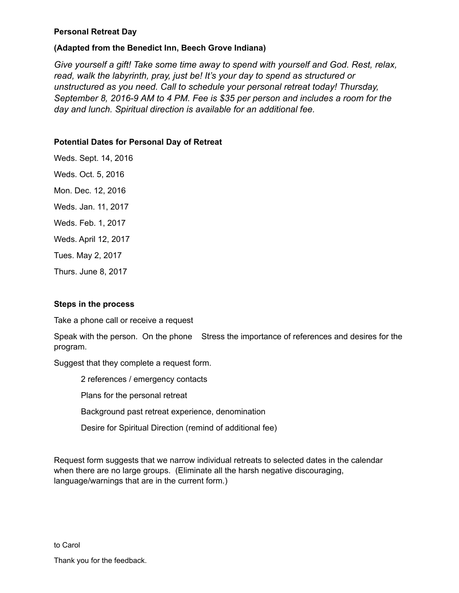#### **Personal Retreat Day**

#### **(Adapted from the Benedict Inn, Beech Grove Indiana)**

*Give yourself a gift! Take some time away to spend with yourself and God. Rest, relax, read, walk the labyrinth, pray, just be! It's your day to spend as structured or unstructured as you need. Call to schedule your personal retreat today! Thursday, September 8, 2016-9 AM to 4 PM. Fee is \$35 per person and includes a room for the day and lunch. Spiritual direction is available for an additional fee.*

#### **Potential Dates for Personal Day of Retreat**

Weds. Sept. 14, 2016 Weds. Oct. 5, 2016 Mon. Dec. 12, 2016 Weds. Jan. 11, 2017 Weds. Feb. 1, 2017 Weds. April 12, 2017 Tues. May 2, 2017 Thurs. June 8, 2017

#### **Steps in the process**

Take a phone call or receive a request

Speak with the person. On the phone Stress the importance of references and desires for the program.

Suggest that they complete a request form.

2 references / emergency contacts

Plans for the personal retreat

Background past retreat experience, denomination

Desire for Spiritual Direction (remind of additional fee)

Request form suggests that we narrow individual retreats to selected dates in the calendar when there are no large groups. (Eliminate all the harsh negative discouraging, language/warnings that are in the current form.)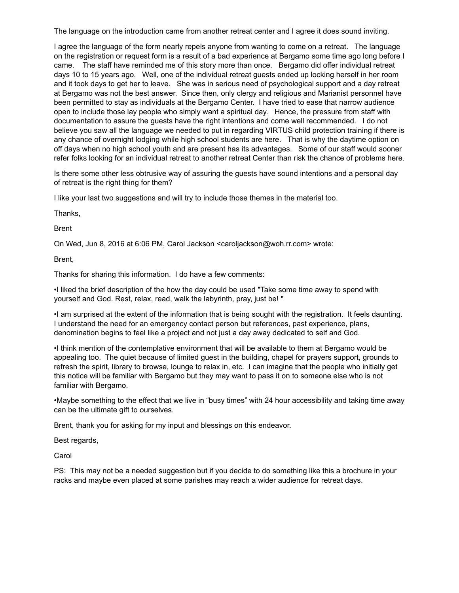The language on the introduction came from another retreat center and I agree it does sound inviting.

I agree the language of the form nearly repels anyone from wanting to come on a retreat. The language on the registration or request form is a result of a bad experience at Bergamo some time ago long before I came. The staff have reminded me of this story more than once. Bergamo did offer individual retreat days 10 to 15 years ago. Well, one of the individual retreat guests ended up locking herself in her room and it took days to get her to leave. She was in serious need of psychological support and a day retreat at Bergamo was not the best answer. Since then, only clergy and religious and Marianist personnel have been permitted to stay as individuals at the Bergamo Center. I have tried to ease that narrow audience open to include those lay people who simply want a spiritual day. Hence, the pressure from staff with documentation to assure the guests have the right intentions and come well recommended. I do not believe you saw all the language we needed to put in regarding VIRTUS child protection training if there is any chance of overnight lodging while high school students are here. That is why the daytime option on off days when no high school youth and are present has its advantages. Some of our staff would sooner refer folks looking for an individual retreat to another retreat Center than risk the chance of problems here.

Is there some other less obtrusive way of assuring the guests have sound intentions and a personal day of retreat is the right thing for them?

I like your last two suggestions and will try to include those themes in the material too.

Thanks,

Brent

On Wed, Jun 8, 2016 at 6:06 PM, Carol Jackson <caroljackson@woh.rr.com> wrote:

Brent,

Thanks for sharing this information. I do have a few comments:

•I liked the brief description of the how the day could be used "Take some time away to spend with yourself and God. Rest, relax, read, walk the labyrinth, pray, just be! "

•I am surprised at the extent of the information that is being sought with the registration. It feels daunting. I understand the need for an emergency contact person but references, past experience, plans, denomination begins to feel like a project and not just a day away dedicated to self and God.

•I think mention of the contemplative environment that will be available to them at Bergamo would be appealing too. The quiet because of limited guest in the building, chapel for prayers support, grounds to refresh the spirit, library to browse, lounge to relax in, etc. I can imagine that the people who initially get this notice will be familiar with Bergamo but they may want to pass it on to someone else who is not familiar with Bergamo.

•Maybe something to the effect that we live in "busy times" with 24 hour accessibility and taking time away can be the ultimate gift to ourselves.

Brent, thank you for asking for my input and blessings on this endeavor.

Best regards,

Carol

PS: This may not be a needed suggestion but if you decide to do something like this a brochure in your racks and maybe even placed at some parishes may reach a wider audience for retreat days.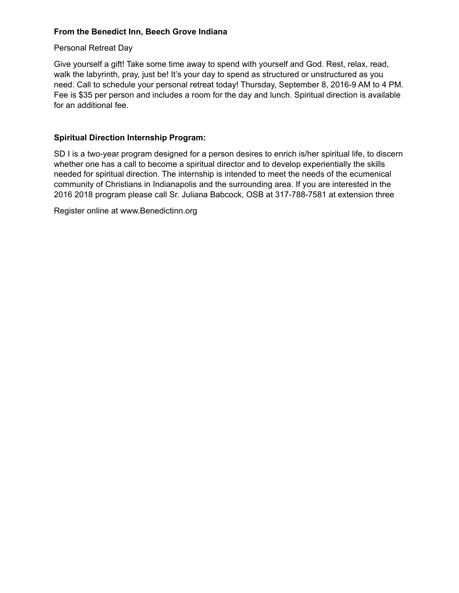#### **From the Benedict Inn, Beech Grove Indiana**

#### Personal Retreat Day

Give yourself a gift! Take some time away to spend with yourself and God. Rest, relax, read, walk the labyrinth, pray, just be! It's your day to spend as structured or unstructured as you need. Call to schedule your personal retreat today! Thursday, September 8, 2016-9 AM to 4 PM. Fee is \$35 per person and includes a room for the day and lunch. Spiritual direction is available for an additional fee.

#### **Spiritual Direction Internship Program:**

SD I is a two-year program designed for a person desires to enrich is/her spiritual life, to discern whether one has a call to become a spiritual director and to develop experientially the skills needed for spiritual direction. The internship is intended to meet the needs of the ecumenical community of Christians in Indianapolis and the surrounding area. If you are interested in the 2016 2018 program please call Sr. Juliana Babcock, OSB at 317-788-7581 at extension three

Register online at www.Benedictinn.org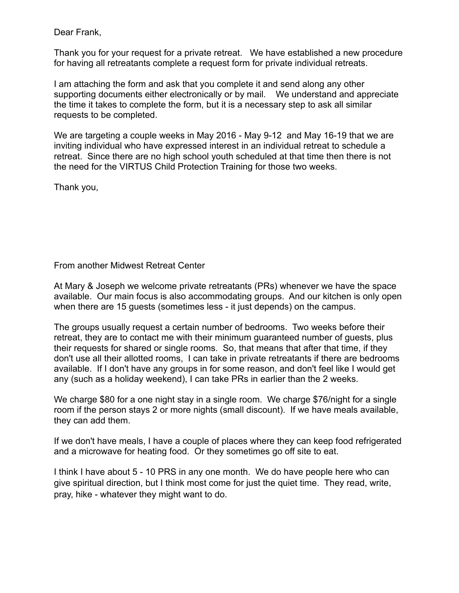Dear Frank,

Thank you for your request for a private retreat. We have established a new procedure for having all retreatants complete a request form for private individual retreats.

I am attaching the form and ask that you complete it and send along any other supporting documents either electronically or by mail. We understand and appreciate the time it takes to complete the form, but it is a necessary step to ask all similar requests to be completed.

We are targeting a couple weeks in May 2016 - May 9-12 and May 16-19 that we are inviting individual who have expressed interest in an individual retreat to schedule a retreat. Since there are no high school youth scheduled at that time then there is not the need for the VIRTUS Child Protection Training for those two weeks.

Thank you,

From another Midwest Retreat Center

At Mary & Joseph we welcome private retreatants (PRs) whenever we have the space available. Our main focus is also accommodating groups. And our kitchen is only open when there are 15 guests (sometimes less - it just depends) on the campus.

The groups usually request a certain number of bedrooms. Two weeks before their retreat, they are to contact me with their minimum guaranteed number of guests, plus their requests for shared or single rooms. So, that means that after that time, if they don't use all their allotted rooms, I can take in private retreatants if there are bedrooms available. If I don't have any groups in for some reason, and don't feel like I would get any (such as a holiday weekend), I can take PRs in earlier than the 2 weeks.

We charge \$80 for a one night stay in a single room. We charge \$76/night for a single room if the person stays 2 or more nights (small discount). If we have meals available, they can add them.

If we don't have meals, I have a couple of places where they can keep food refrigerated and a microwave for heating food. Or they sometimes go off site to eat.

I think I have about 5 - 10 PRS in any one month. We do have people here who can give spiritual direction, but I think most come for just the quiet time. They read, write, pray, hike - whatever they might want to do.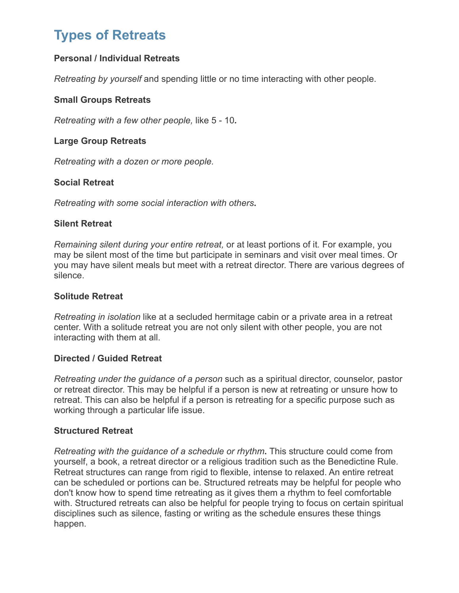# **[Types of Retreats](http://differentretreats.blogspot.com/2007/06/types-of-retreats.html)**

### **Personal / Individual Retreats**

*Retreating by yourself* and spending little or no time interacting with other people.

#### **Small Groups Retreats**

*Retreating with a few other people,* like 5 - 10*.*

#### **Large Group Retreats**

*Retreating with a dozen or more people.*

#### **Social Retreat**

*Retreating with some social interaction with others***.**

#### **Silent Retreat**

*Remaining silent during your entire retreat,* or at least portions of it*.* For example, you may be silent most of the time but participate in seminars and visit over meal times. Or you may have silent meals but meet with a retreat director. There are various degrees of silence.

#### **Solitude Retreat**

*Retreating in isolation* like at a secluded hermitage cabin or a private area in a retreat center. With a solitude retreat you are not only silent with other people, you are not interacting with them at all.

#### **Directed / Guided Retreat**

*Retreating under the guidance of a person* such as a spiritual director, counselor, pastor or retreat director. This may be helpful if a person is new at retreating or unsure how to retreat. This can also be helpful if a person is retreating for a specific purpose such as working through a particular life issue.

#### **Structured Retreat**

*Retreating with the guidance of a schedule or rhythm***.** This structure could come from yourself, a book, a retreat director or a religious tradition such as the Benedictine Rule. Retreat structures can range from rigid to flexible, intense to relaxed. An entire retreat can be scheduled or portions can be. Structured retreats may be helpful for people who don't know how to spend time retreating as it gives them a rhythm to feel comfortable with. Structured retreats can also be helpful for people trying to focus on certain spiritual disciplines such as silence, fasting or writing as the schedule ensures these things happen.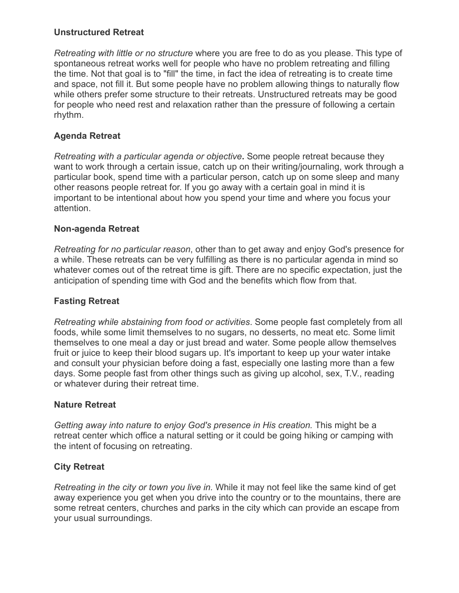#### **Unstructured Retreat**

*Retreating with little or no structure* where you are free to do as you please. This type of spontaneous retreat works well for people who have no problem retreating and filling the time. Not that goal is to "fill" the time, in fact the idea of retreating is to create time and space, not fill it. But some people have no problem allowing things to naturally flow while others prefer some structure to their retreats. Unstructured retreats may be good for people who need rest and relaxation rather than the pressure of following a certain rhythm.

### **Agenda Retreat**

*Retreating with a particular agenda or objective***.** Some people retreat because they want to work through a certain issue, catch up on their writing/journaling, work through a particular book, spend time with a particular person, catch up on some sleep and many other reasons people retreat for. If you go away with a certain goal in mind it is important to be intentional about how you spend your time and where you focus your attention.

#### **Non-agenda Retreat**

*Retreating for no particular reason*, other than to get away and enjoy God's presence for a while. These retreats can be very fulfilling as there is no particular agenda in mind so whatever comes out of the retreat time is gift. There are no specific expectation, just the anticipation of spending time with God and the benefits which flow from that.

#### **Fasting Retreat**

*Retreating while abstaining from food or activities*. Some people fast completely from all foods, while some limit themselves to no sugars, no desserts, no meat etc. Some limit themselves to one meal a day or just bread and water. Some people allow themselves fruit or juice to keep their blood sugars up. It's important to keep up your water intake and consult your physician before doing a fast, especially one lasting more than a few days. Some people fast from other things such as giving up alcohol, sex, T.V., reading or whatever during their retreat time.

#### **Nature Retreat**

*Getting away into nature to enjoy God's presence in His creation.* This might be a retreat center which office a natural setting or it could be going hiking or camping with the intent of focusing on retreating.

### **City Retreat**

*Retreating in the city or town you live in.* While it may not feel like the same kind of get away experience you get when you drive into the country or to the mountains, there are some retreat centers, churches and parks in the city which can provide an escape from your usual surroundings.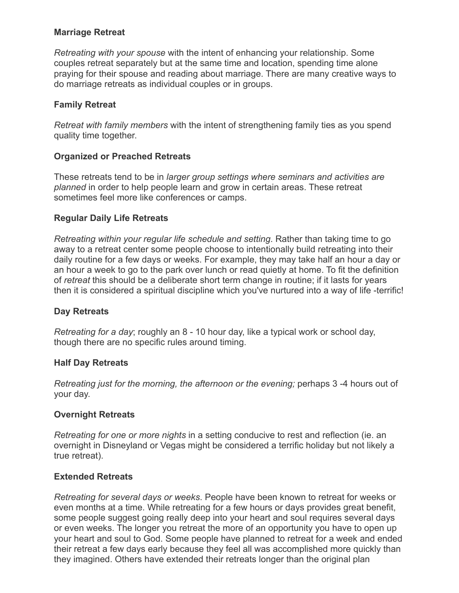#### **Marriage Retreat**

*Retreating with your spouse* with the intent of enhancing your relationship. Some couples retreat separately but at the same time and location, spending time alone praying for their spouse and reading about marriage. There are many creative ways to do marriage retreats as individual couples or in groups.

#### **Family Retreat**

*Retreat with family members* with the intent of strengthening family ties as you spend quality time together.

#### **Organized or Preached Retreats**

These retreats tend to be in *larger group settings where seminars and activities are planned* in order to help people learn and grow in certain areas. These retreat sometimes feel more like conferences or camps.

#### **Regular Daily Life Retreats**

*Retreating within your regular life schedule and setting*. Rather than taking time to go away to a retreat center some people choose to intentionally build retreating into their daily routine for a few days or weeks. For example, they may take half an hour a day or an hour a week to go to the park over lunch or read quietly at home. To fit the definition of *retreat* this should be a deliberate short term change in routine; if it lasts for years then it is considered a spiritual discipline which you've nurtured into a way of life -terrific!

#### **Day Retreats**

*Retreating for a day*; roughly an 8 - 10 hour day, like a typical work or school day, though there are no specific rules around timing.

#### **Half Day Retreats**

*Retreating just for the morning, the afternoon or the evening;* perhaps 3 -4 hours out of your day.

#### **Overnight Retreats**

*Retreating for one or more nights* in a setting conducive to rest and reflection (ie. an overnight in Disneyland or Vegas might be considered a terrific holiday but not likely a true retreat).

#### **Extended Retreats**

*Retreating for several days or weeks*. People have been known to retreat for weeks or even months at a time. While retreating for a few hours or days provides great benefit, some people suggest going really deep into your heart and soul requires several days or even weeks. The longer you retreat the more of an opportunity you have to open up your heart and soul to God. Some people have planned to retreat for a week and ended their retreat a few days early because they feel all was accomplished more quickly than they imagined. Others have extended their retreats longer than the original plan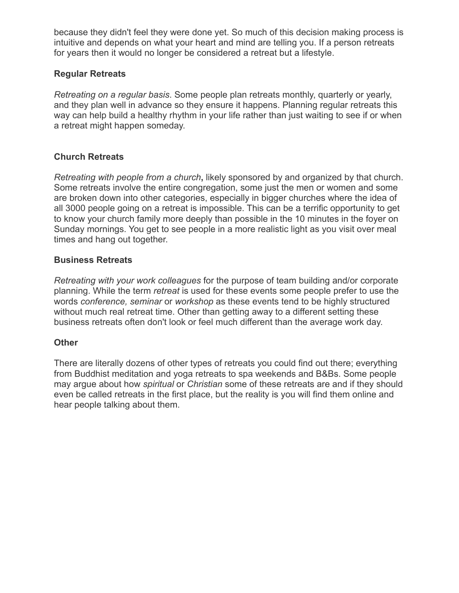because they didn't feel they were done yet. So much of this decision making process is intuitive and depends on what your heart and mind are telling you. If a person retreats for years then it would no longer be considered a retreat but a lifestyle.

### **Regular Retreats**

*Retreating on a regular basis*. Some people plan retreats monthly, quarterly or yearly, and they plan well in advance so they ensure it happens. Planning regular retreats this way can help build a healthy rhythm in your life rather than just waiting to see if or when a retreat might happen someday.

### **Church Retreats**

*Retreating with people from a church***,** likely sponsored by and organized by that church. Some retreats involve the entire congregation, some just the men or women and some are broken down into other categories, especially in bigger churches where the idea of all 3000 people going on a retreat is impossible. This can be a terrific opportunity to get to know your church family more deeply than possible in the 10 minutes in the foyer on Sunday mornings. You get to see people in a more realistic light as you visit over meal times and hang out together.

### **Business Retreats**

*Retreating with your work colleagues* for the purpose of team building and/or corporate planning. While the term *retreat* is used for these events some people prefer to use the words *conference, seminar* or *workshop* as these events tend to be highly structured without much real retreat time. Other than getting away to a different setting these business retreats often don't look or feel much different than the average work day.

### **Other**

There are literally dozens of other types of retreats you could find out there; everything from Buddhist meditation and yoga retreats to spa weekends and B&Bs. Some people may argue about how *spiritual* or *Christian* some of these retreats are and if they should even be called retreats in the first place, but the reality is you will find them online and hear people talking about them.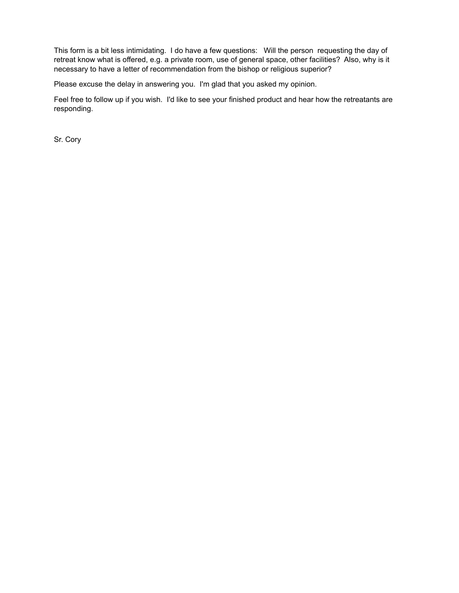This form is a bit less intimidating. I do have a few questions: Will the person requesting the day of retreat know what is offered, e.g. a private room, use of general space, other facilities? Also, why is it necessary to have a letter of recommendation from the bishop or religious superior?

Please excuse the delay in answering you. I'm glad that you asked my opinion.

Feel free to follow up if you wish. I'd like to see your finished product and hear how the retreatants are responding.

Sr. Cory